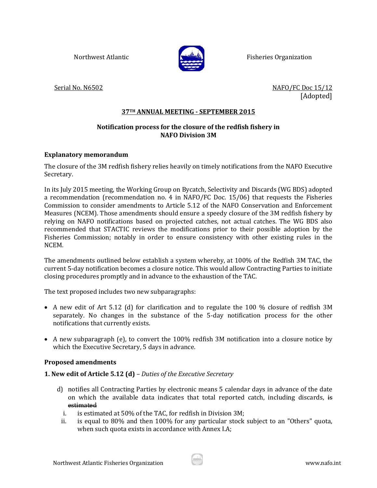

Northwest Atlantic **Fisheries Organization** 

Serial No. N6502 NAFO/FC Doc 15/12 [Adopted]

# **37TH ANNUAL MEETING - SEPTEMBER 2015**

# **Notification process for the closure of the redfish fishery in NAFO Division 3M**

## **Explanatory memorandum**

The closure of the 3M redfish fishery relies heavily on timely notifications from the NAFO Executive Secretary.

In its July 2015 meeting, the Working Group on Bycatch, Selectivity and Discards (WG BDS) adopted a recommendation (recommendation no. 4 in NAFO/FC Doc. 15/06) that requests the Fisheries Commission to consider amendments to Article 5.12 of the NAFO Conservation and Enforcement Measures (NCEM). Those amendments should ensure a speedy closure of the 3M redfish fishery by relying on NAFO notifications based on projected catches, not actual catches. The WG BDS also recommended that STACTIC reviews the modifications prior to their possible adoption by the Fisheries Commission; notably in order to ensure consistency with other existing rules in the NCEM.

The amendments outlined below establish a system whereby, at 100% of the Redfish 3M TAC, the current 5-day notification becomes a closure notice. This would allow Contracting Parties to initiate closing procedures promptly and in advance to the exhaustion of the TAC.

The text proposed includes two new subparagraphs:

- A new edit of Art 5.12 (d) for clarification and to regulate the 100 % closure of redfish 3M separately. No changes in the substance of the 5-day notification process for the other notifications that currently exists.
- A new subparagraph (e), to convert the 100% redfish 3M notification into a closure notice by which the Executive Secretary, 5 days in advance.

## **Proposed amendments**

## **1. New edit of Article 5.12 (d)** *– Duties of the Executive Secretary*

- d) notifies all Contracting Parties by electronic means 5 calendar days in advance of the date on which the available data indicates that total reported catch, including discards, is estimated
	- i. is estimated at 50% of the TAC, for redfish in Division 3M;
	- ii. is equal to 80% and then 100% for any particular stock subject to an "Others" quota, when such quota exists in accordance with Annex I.A;